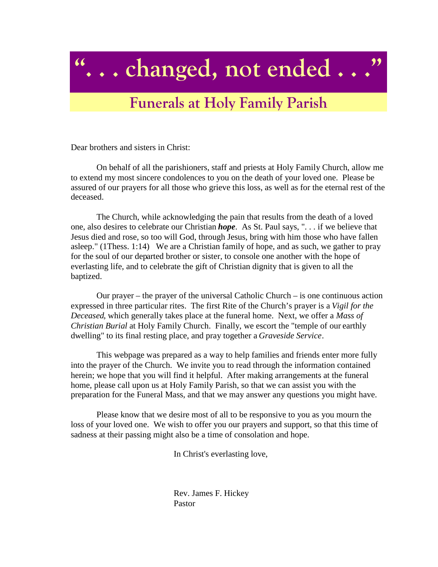# **". . . changed, not ended . . ."**

# **Funerals at Holy Family Parish**

Dear brothers and sisters in Christ:

On behalf of all the parishioners, staff and priests at Holy Family Church, allow me to extend my most sincere condolences to you on the death of your loved one. Please be assured of our prayers for all those who grieve this loss, as well as for the eternal rest of the deceased.

The Church, while acknowledging the pain that results from the death of a loved one, also desires to celebrate our Christian *hope*. As St. Paul says, ". . . if we believe that Jesus died and rose, so too will God, through Jesus, bring with him those who have fallen asleep." (1Thess. 1:14) We are a Christian family of hope, and as such, we gather to pray for the soul of our departed brother or sister, to console one another with the hope of everlasting life, and to celebrate the gift of Christian dignity that is given to all the baptized.

Our prayer – the prayer of the universal Catholic Church – is one continuous action expressed in three particular rites. The first Rite of the Church's prayer is a *Vigil for the Deceased*, which generally takes place at the funeral home. Next, we offer a *Mass of Christian Burial* at Holy Family Church. Finally, we escort the "temple of our earthly dwelling" to its final resting place, and pray together a *Graveside Service*.

This webpage was prepared as a way to help families and friends enter more fully into the prayer of the Church. We invite you to read through the information contained herein; we hope that you will find it helpful. After making arrangements at the funeral home, please call upon us at Holy Family Parish, so that we can assist you with the preparation for the Funeral Mass, and that we may answer any questions you might have.

Please know that we desire most of all to be responsive to you as you mourn the loss of your loved one. We wish to offer you our prayers and support, so that this time of sadness at their passing might also be a time of consolation and hope.

In Christ's everlasting love,

Rev. James F. Hickey Pastor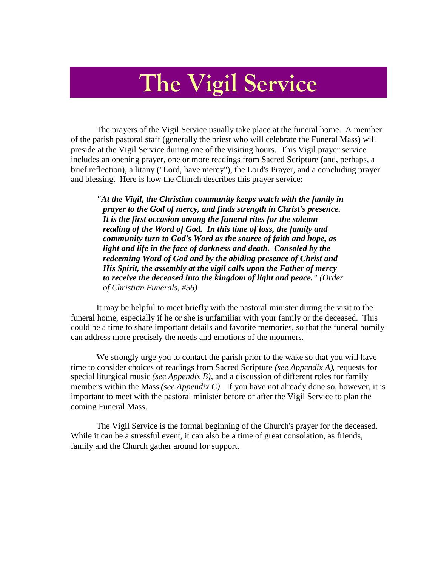# **The Vigil Service**

The prayers of the Vigil Service usually take place at the funeral home. A member of the parish pastoral staff (generally the priest who will celebrate the Funeral Mass) will preside at the Vigil Service during one of the visiting hours. This Vigil prayer service includes an opening prayer, one or more readings from Sacred Scripture (and, perhaps, a brief reflection), a litany ("Lord, have mercy"), the Lord's Prayer, and a concluding prayer and blessing. Here is how the Church describes this prayer service:

*"At the Vigil, the Christian community keeps watch with the family in prayer to the God of mercy, and finds strength in Christ's presence. It is the first occasion among the funeral rites for the solemn reading of the Word of God. In this time of loss, the family and community turn to God's Word as the source of faith and hope, as light and life in the face of darkness and death. Consoled by the redeeming Word of God and by the abiding presence of Christ and His Spirit, the assembly at the vigil calls upon the Father of mercy to receive the deceased into the kingdom of light and peace." (Order of Christian Funerals, #56)*

It may be helpful to meet briefly with the pastoral minister during the visit to the funeral home, especially if he or she is unfamiliar with your family or the deceased. This could be a time to share important details and favorite memories, so that the funeral homily can address more precisely the needs and emotions of the mourners.

We strongly urge you to contact the parish prior to the wake so that you will have time to consider choices of readings from Sacred Scripture *(see Appendix A)*, requests for special liturgical music *(see Appendix B)*, and a discussion of different roles for family members within the Mass*(see Appendix C).* If you have not already done so, however, it is important to meet with the pastoral minister before or after the Vigil Service to plan the coming Funeral Mass.

The Vigil Service is the formal beginning of the Church's prayer for the deceased. While it can be a stressful event, it can also be a time of great consolation, as friends, family and the Church gather around for support.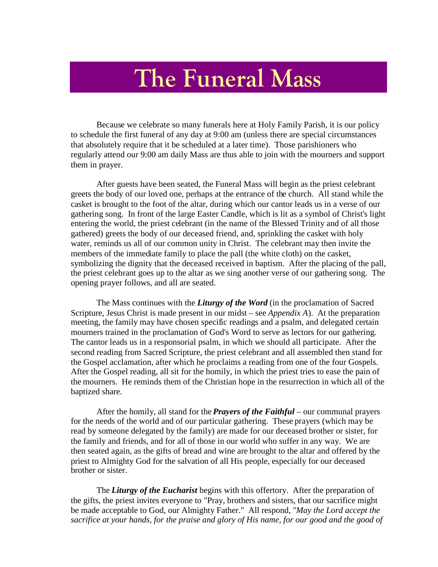# **The Funeral Mass**

Because we celebrate so many funerals here at Holy Family Parish, it is our policy to schedule the first funeral of any day at 9:00 am (unless there are special circumstances that absolutely require that it be scheduled at a later time). Those parishioners who regularly attend our 9:00 am daily Mass are thus able to join with the mourners and support them in prayer.

After guests have been seated, the Funeral Mass will begin as the priest celebrant greets the body of our loved one, perhaps at the entrance of the church. All stand while the casket is brought to the foot of the altar, during which our cantor leads us in a verse of our gathering song. In front of the large Easter Candle, which is lit as a symbol of Christ's light entering the world, the priest celebrant (in the name of the Blessed Trinity and of all those gathered) greets the body of our deceased friend, and, sprinkling the casket with holy water, reminds us all of our common unity in Christ. The celebrant may then invite the members of the immediate family to place the pall (the white cloth) on the casket, symbolizing the dignity that the deceased received in baptism. After the placing of the pall, the priest celebrant goes up to the altar as we sing another verse of our gathering song. The opening prayer follows, and all are seated.

The Mass continues with the *Liturgy of the Word* (in the proclamation of Sacred Scripture, Jesus Christ is made present in our midst – see *Appendix A*). At the preparation meeting, the family may have chosen specific readings and a psalm, and delegated certain mourners trained in the proclamation of God's Word to serve as lectors for our gathering. The cantor leads us in a responsorial psalm, in which we should all participate. After the second reading from Sacred Scripture, the priest celebrant and all assembled then stand for the Gospel acclamation, after which he proclaims a reading from one of the four Gospels. After the Gospel reading, all sit for the homily, in which the priest tries to ease the pain of the mourners. He reminds them of the Christian hope in the resurrection in which all of the baptized share.

After the homily, all stand for the *Prayers of the Faithful* – our communal prayers for the needs of the world and of our particular gathering. These prayers (which may be read by someone delegated by the family) are made for our deceased brother or sister, for the family and friends, and for all of those in our world who suffer in any way. We are then seated again, as the gifts of bread and wine are brought to the altar and offered by the priest to Almighty God for the salvation of all His people, especially for our deceased brother or sister.

The *Liturgy of the Eucharist* begins with this offertory. After the preparation of the gifts, the priest invites everyone to "Pray, brothers and sisters, that our sacrifice might be made acceptable to God, our Almighty Father." All respond, *"May the Lord accept the sacrifice at your hands, for the praise and glory of His name, for our good and the good of*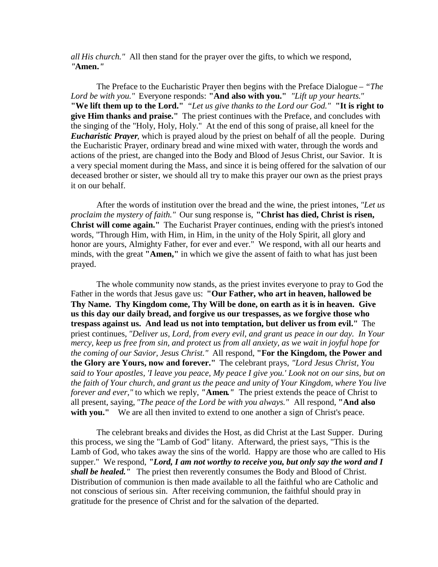*all His church."* All then stand for the prayer over the gifts, to which we respond, *"***Amen***."*

The Preface to the Eucharistic Prayer then begins with the Preface Dialogue – *"The Lord be with you."* Everyone responds: **"And also with you."** *"Lift up your hearts."* **"We lift them up to the Lord."** *"Let us give thanks to the Lord our God."* **"It is right to give Him thanks and praise."** The priest continues with the Preface, and concludes with the singing of the "Holy, Holy, Holy." At the end of this song of praise, all kneel for the *Eucharistic Prayer*, which is prayed aloud by the priest on behalf of all the people. During the Eucharistic Prayer, ordinary bread and wine mixed with water, through the words and actions of the priest, are changed into the Body and Blood of Jesus Christ, our Savior. It is a very special moment during the Mass, and since it is being offered for the salvation of our deceased brother or sister, we should all try to make this prayer our own as the priest prays it on our behalf.

After the words of institution over the bread and the wine, the priest intones, *"Let us proclaim the mystery of faith."* Our sung response is, **"Christ has died, Christ is risen, Christ will come again."** The Eucharist Prayer continues, ending with the priest's intoned words, "Through Him, with Him, in Him, in the unity of the Holy Spirit, all glory and honor are yours, Almighty Father, for ever and ever." We respond, with all our hearts and minds, with the great **"Amen,"** in which we give the assent of faith to what has just been prayed.

The whole community now stands, as the priest invites everyone to pray to God the Father in the words that Jesus gave us: **"Our Father, who art in heaven, hallowed be Thy Name. Thy Kingdom come, Thy Will be done, on earth as it is in heaven. Give us this day our daily bread, and forgive us our trespasses, as we forgive those who trespass against us. And lead us not into temptation, but deliver us from evil."** The priest continues, *"Deliver us, Lord, from every evil, and grant us peace in our day. In Your mercy, keep us free from sin, and protect us from all anxiety, as we wait in joyful hope for the coming of our Savior, Jesus Christ."* All respond, **"For the Kingdom, the Power and the Glory are Yours, now and forever."** The celebrant prays, *"Lord Jesus Christ, You said to Your apostles, 'I leave you peace, My peace I give you.' Look not on our sins, but on the faith of Your church, and grant us the peace and unity of Your Kingdom, where You live forever and ever,"* to which we reply, *"***Amen***."* The priest extends the peace of Christ to all present, saying, *"The peace of the Lord be with you always."* All respond, **"And also** with you." We are all then invited to extend to one another a sign of Christ's peace.

The celebrant breaks and divides the Host, as did Christ at the Last Supper. During this process, we sing the "Lamb of God" litany. Afterward, the priest says, "This is the Lamb of God, who takes away the sins of the world. Happy are those who are called to His supper." We respond, *"Lord, I am not worthy to receive you, but only say the word and I shall be healed.*" The priest then reverently consumes the Body and Blood of Christ. Distribution of communion is then made available to all the faithful who are Catholic and not conscious of serious sin. After receiving communion, the faithful should pray in gratitude for the presence of Christ and for the salvation of the departed.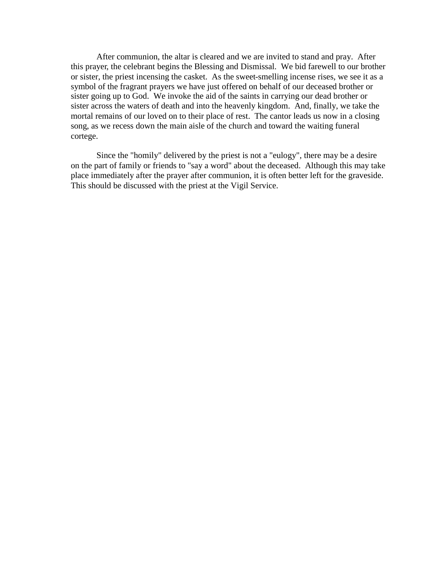After communion, the altar is cleared and we are invited to stand and pray. After this prayer, the celebrant begins the Blessing and Dismissal. We bid farewell to our brother or sister, the priest incensing the casket. As the sweet-smelling incense rises, we see it as a symbol of the fragrant prayers we have just offered on behalf of our deceased brother or sister going up to God. We invoke the aid of the saints in carrying our dead brother or sister across the waters of death and into the heavenly kingdom. And, finally, we take the mortal remains of our loved on to their place of rest. The cantor leads us now in a closing song, as we recess down the main aisle of the church and toward the waiting funeral cortege.

Since the "homily" delivered by the priest is not a "eulogy", there may be a desire on the part of family or friends to "say a word" about the deceased. Although this may take place immediately after the prayer after communion, it is often better left for the graveside. This should be discussed with the priest at the Vigil Service.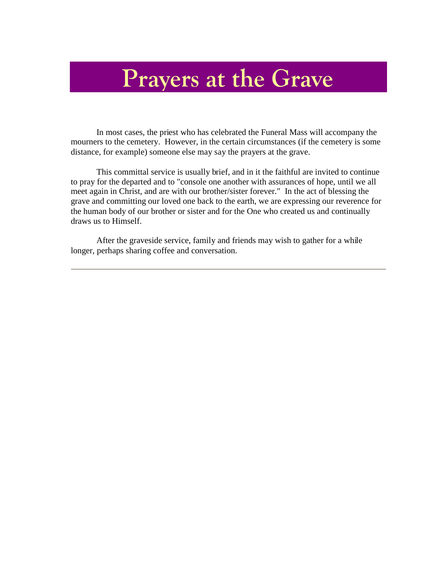# **Prayers at the Grave**

In most cases, the priest who has celebrated the Funeral Mass will accompany the mourners to the cemetery. However, in the certain circumstances (if the cemetery is some distance, for example) someone else may say the prayers at the grave.

This committal service is usually brief, and in it the faithful are invited to continue to pray for the departed and to "console one another with assurances of hope, until we all meet again in Christ, and are with our brother/sister forever." In the act of blessing the grave and committing our loved one back to the earth, we are expressing our reverence for the human body of our brother or sister and for the One who created us and continually draws us to Himself.

After the graveside service, family and friends may wish to gather for a while longer, perhaps sharing coffee and conversation.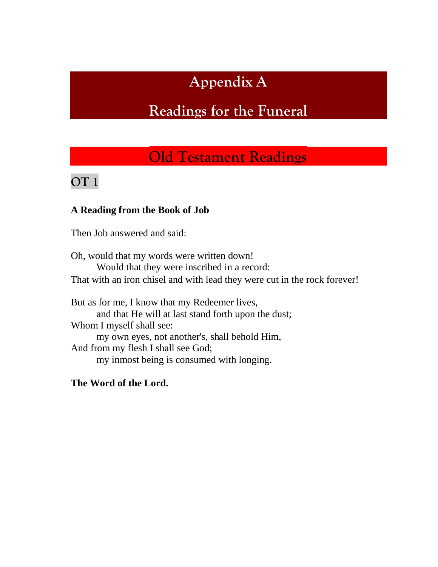# **Appendix A**

# **Readings for the Funeral**

# **Old Testament Readings**

### **OT 1**

#### **A Reading from the Book of Job**

Then Job answered and said:

Oh, would that my words were written down! Would that they were inscribed in a record: That with an iron chisel and with lead they were cut in the rock forever!

But as for me, I know that my Redeemer lives, and that He will at last stand forth upon the dust; Whom I myself shall see: my own eyes, not another's, shall behold Him, And from my flesh I shall see God; my inmost being is consumed with longing.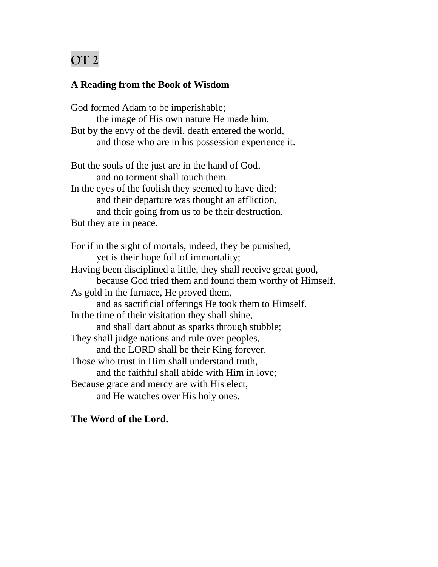#### **A Reading from the Book of Wisdom**

God formed Adam to be imperishable; the image of His own nature He made him. But by the envy of the devil, death entered the world, and those who are in his possession experience it. But the souls of the just are in the hand of God, and no torment shall touch them. In the eyes of the foolish they seemed to have died; and their departure was thought an affliction, and their going from us to be their destruction. But they are in peace. For if in the sight of mortals, indeed, they be punished, yet is their hope full of immortality; Having been disciplined a little, they shall receive great good, because God tried them and found them worthy of Himself. As gold in the furnace, He proved them, and as sacrificial offerings He took them to Himself. In the time of their visitation they shall shine, and shall dart about as sparks through stubble; They shall judge nations and rule over peoples, and the LORD shall be their King forever. Those who trust in Him shall understand truth, and the faithful shall abide with Him in love; Because grace and mercy are with His elect, and He watches over His holy ones.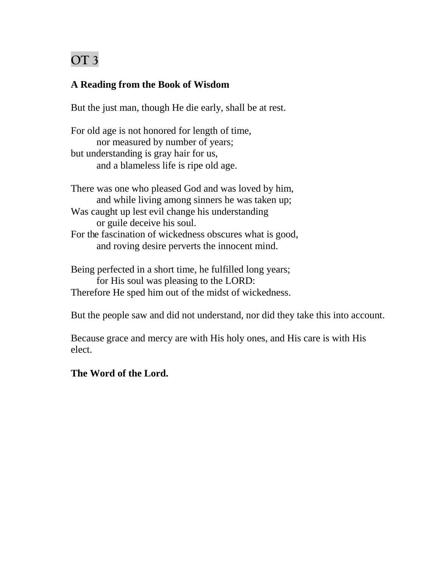#### **A Reading from the Book of Wisdom**

But the just man, though He die early, shall be at rest.

For old age is not honored for length of time, nor measured by number of years; but understanding is gray hair for us, and a blameless life is ripe old age.

There was one who pleased God and was loved by him, and while living among sinners he was taken up; Was caught up lest evil change his understanding or guile deceive his soul.

For the fascination of wickedness obscures what is good, and roving desire perverts the innocent mind.

Being perfected in a short time, he fulfilled long years; for His soul was pleasing to the LORD: Therefore He sped him out of the midst of wickedness.

But the people saw and did not understand, nor did they take this into account.

Because grace and mercy are with His holy ones, and His care is with His elect.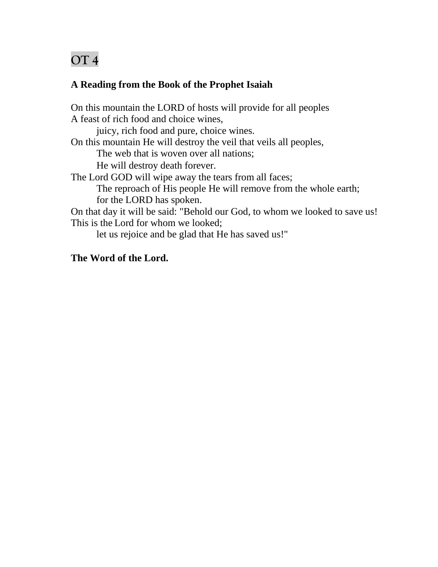#### **A Reading from the Book of the Prophet Isaiah**

On this mountain the LORD of hosts will provide for all peoples A feast of rich food and choice wines, juicy, rich food and pure, choice wines.

On this mountain He will destroy the veil that veils all peoples,

The web that is woven over all nations;

He will destroy death forever.

The Lord GOD will wipe away the tears from all faces;

The reproach of His people He will remove from the whole earth; for the LORD has spoken.

On that day it will be said: "Behold our God, to whom we looked to save us! This is the Lord for whom we looked;

let us rejoice and be glad that He has saved us!"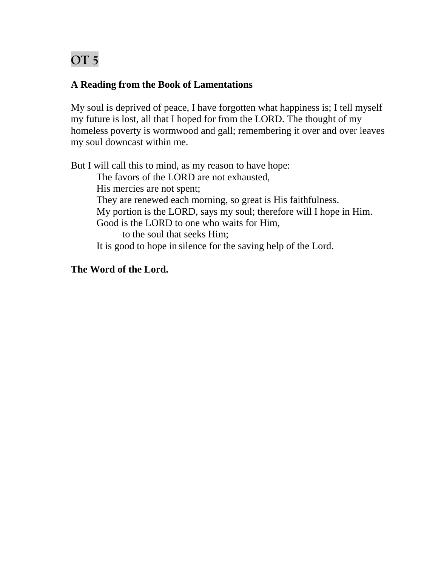#### **A Reading from the Book of Lamentations**

My soul is deprived of peace, I have forgotten what happiness is; I tell myself my future is lost, all that I hoped for from the LORD. The thought of my homeless poverty is wormwood and gall; remembering it over and over leaves my soul downcast within me.

But I will call this to mind, as my reason to have hope: The favors of the LORD are not exhausted, His mercies are not spent; They are renewed each morning, so great is His faithfulness. My portion is the LORD, says my soul; therefore will I hope in Him. Good is the LORD to one who waits for Him, to the soul that seeks Him; It is good to hope in silence for the saving help of the Lord.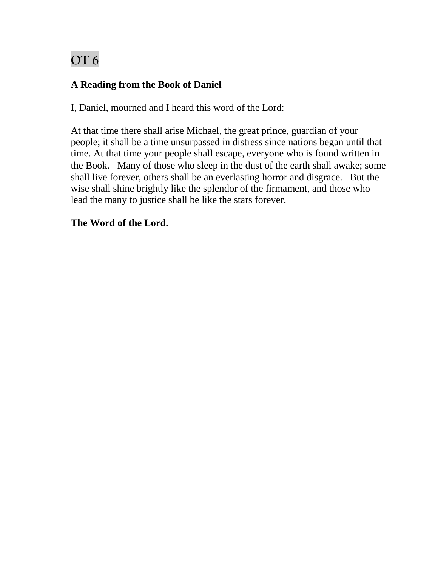#### **A Reading from the Book of Daniel**

I, Daniel, mourned and I heard this word of the Lord:

At that time there shall arise Michael, the great prince, guardian of your people; it shall be a time unsurpassed in distress since nations began until that time. At that time your people shall escape, everyone who is found written in the Book. Many of those who sleep in the dust of the earth shall awake; some shall live forever, others shall be an everlasting horror and disgrace. But the wise shall shine brightly like the splendor of the firmament, and those who lead the many to justice shall be like the stars forever.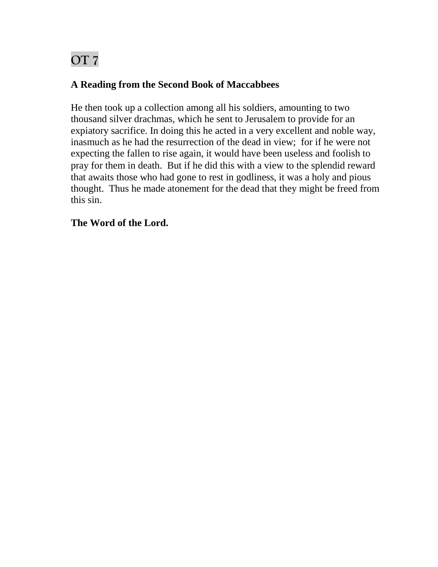#### **A Reading from the Second Book of Maccabbees**

He then took up a collection among all his soldiers, amounting to two thousand silver drachmas, which he sent to Jerusalem to provide for an expiatory sacrifice. In doing this he acted in a very excellent and noble way, inasmuch as he had the resurrection of the dead in view; for if he were not expecting the fallen to rise again, it would have been useless and foolish to pray for them in death. But if he did this with a view to the splendid reward that awaits those who had gone to rest in godliness, it was a holy and pious thought. Thus he made atonement for the dead that they might be freed from this sin.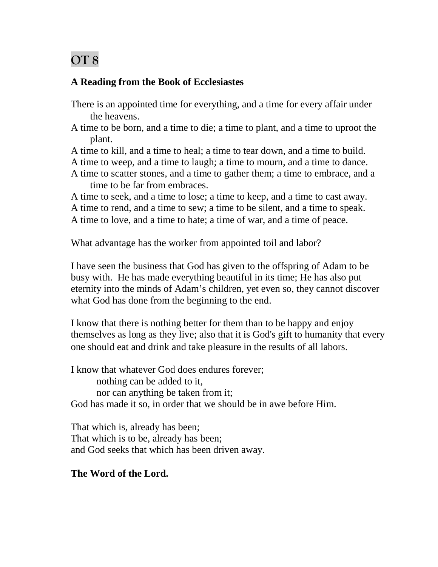#### **A Reading from the Book of Ecclesiastes**

There is an appointed time for everything, and a time for every affair under the heavens.

- A time to be born, and a time to die; a time to plant, and a time to uproot the plant.
- A time to kill, and a time to heal; a time to tear down, and a time to build.
- A time to weep, and a time to laugh; a time to mourn, and a time to dance.
- A time to scatter stones, and a time to gather them; a time to embrace, and a time to be far from embraces.
- A time to seek, and a time to lose; a time to keep, and a time to cast away.
- A time to rend, and a time to sew; a time to be silent, and a time to speak.
- A time to love, and a time to hate; a time of war, and a time of peace.

What advantage has the worker from appointed toil and labor?

I have seen the business that God has given to the offspring of Adam to be busy with. He has made everything beautiful in its time; He has also put eternity into the minds of Adam's children, yet even so, they cannot discover what God has done from the beginning to the end.

I know that there is nothing better for them than to be happy and enjoy themselves as long as they live; also that it is God's gift to humanity that every one should eat and drink and take pleasure in the results of all labors.

I know that whatever God does endures forever; nothing can be added to it, nor can anything be taken from it; God has made it so, in order that we should be in awe before Him.

That which is, already has been; That which is to be, already has been; and God seeks that which has been driven away.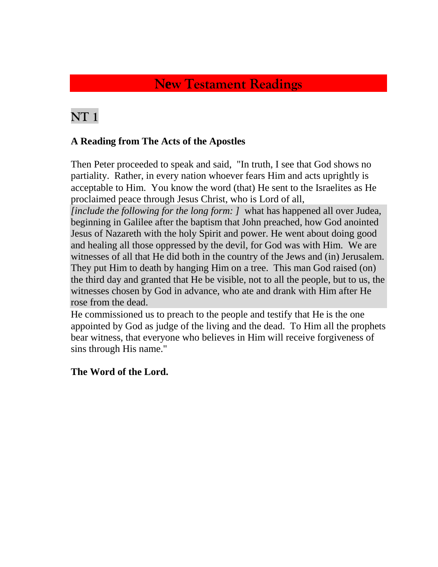### **New Testament Readings**

### **NT 1**

#### **A Reading from The Acts of the Apostles**

Then Peter proceeded to speak and said, "In truth, I see that God shows no partiality. Rather, in every nation whoever fears Him and acts uprightly is acceptable to Him. You know the word (that) He sent to the Israelites as He proclaimed peace through Jesus Christ, who is Lord of all,

*[include the following for the long form: ]* what has happened all over Judea, beginning in Galilee after the baptism that John preached, how God anointed Jesus of Nazareth with the holy Spirit and power. He went about doing good and healing all those oppressed by the devil, for God was with Him. We are witnesses of all that He did both in the country of the Jews and (in) Jerusalem. They put Him to death by hanging Him on a tree. This man God raised (on) the third day and granted that He be visible, not to all the people, but to us, the witnesses chosen by God in advance, who ate and drank with Him after He rose from the dead.

He commissioned us to preach to the people and testify that He is the one appointed by God as judge of the living and the dead. To Him all the prophets bear witness, that everyone who believes in Him will receive forgiveness of sins through His name."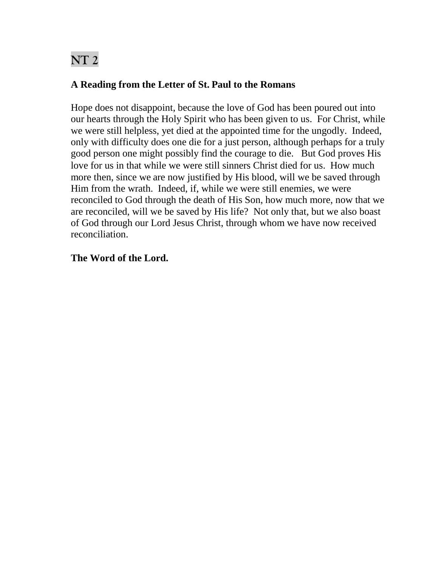#### **A Reading from the Letter of St. Paul to the Romans**

Hope does not disappoint, because the love of God has been poured out into our hearts through the Holy Spirit who has been given to us. For Christ, while we were still helpless, yet died at the appointed time for the ungodly. Indeed, only with difficulty does one die for a just person, although perhaps for a truly good person one might possibly find the courage to die. But God proves His love for us in that while we were still sinners Christ died for us. How much more then, since we are now justified by His blood, will we be saved through Him from the wrath. Indeed, if, while we were still enemies, we were reconciled to God through the death of His Son, how much more, now that we are reconciled, will we be saved by His life? Not only that, but we also boast of God through our Lord Jesus Christ, through whom we have now received reconciliation.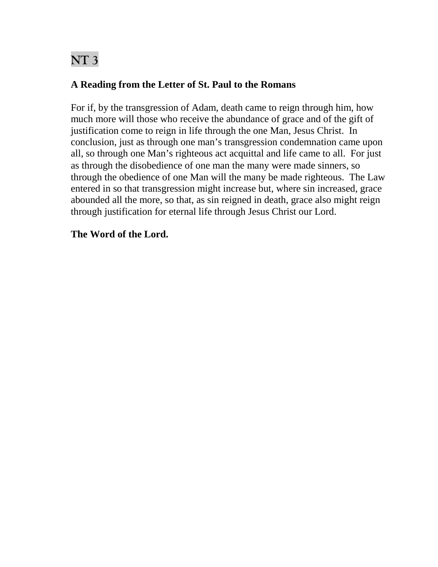#### **A Reading from the Letter of St. Paul to the Romans**

For if, by the transgression of Adam, death came to reign through him, how much more will those who receive the abundance of grace and of the gift of justification come to reign in life through the one Man, Jesus Christ. In conclusion, just as through one man's transgression condemnation came upon all, so through one Man's righteous act acquittal and life came to all. For just as through the disobedience of one man the many were made sinners, so through the obedience of one Man will the many be made righteous. The Law entered in so that transgression might increase but, where sin increased, grace abounded all the more, so that, as sin reigned in death, grace also might reign through justification for eternal life through Jesus Christ our Lord.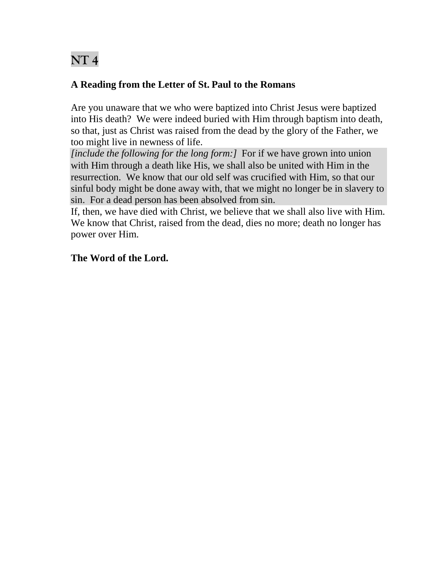#### **A Reading from the Letter of St. Paul to the Romans**

Are you unaware that we who were baptized into Christ Jesus were baptized into His death? We were indeed buried with Him through baptism into death, so that, just as Christ was raised from the dead by the glory of the Father, we too might live in newness of life.

*[include the following for the long form:]* For if we have grown into union with Him through a death like His, we shall also be united with Him in the resurrection. We know that our old self was crucified with Him, so that our sinful body might be done away with, that we might no longer be in slavery to sin. For a dead person has been absolved from sin.

If, then, we have died with Christ, we believe that we shall also live with Him. We know that Christ, raised from the dead, dies no more; death no longer has power over Him.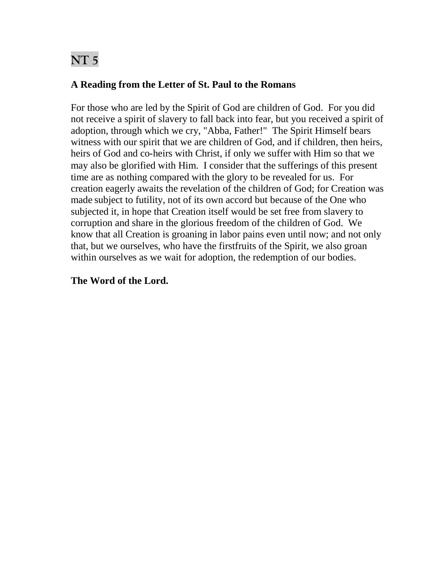#### **A Reading from the Letter of St. Paul to the Romans**

For those who are led by the Spirit of God are children of God. For you did not receive a spirit of slavery to fall back into fear, but you received a spirit of adoption, through which we cry, "Abba, Father!" The Spirit Himself bears witness with our spirit that we are children of God, and if children, then heirs, heirs of God and co-heirs with Christ, if only we suffer with Him so that we may also be glorified with Him. I consider that the sufferings of this present time are as nothing compared with the glory to be revealed for us. For creation eagerly awaits the revelation of the children of God; for Creation was made subject to futility, not of its own accord but because of the One who subjected it, in hope that Creation itself would be set free from slavery to corruption and share in the glorious freedom of the children of God. We know that all Creation is groaning in labor pains even until now; and not only that, but we ourselves, who have the firstfruits of the Spirit, we also groan within ourselves as we wait for adoption, the redemption of our bodies.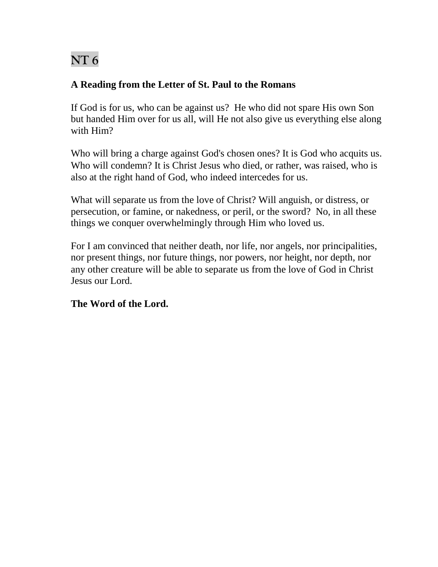#### **A Reading from the Letter of St. Paul to the Romans**

If God is for us, who can be against us? He who did not spare His own Son but handed Him over for us all, will He not also give us everything else along with Him?

Who will bring a charge against God's chosen ones? It is God who acquits us. Who will condemn? It is Christ Jesus who died, or rather, was raised, who is also at the right hand of God, who indeed intercedes for us.

What will separate us from the love of Christ? Will anguish, or distress, or persecution, or famine, or nakedness, or peril, or the sword? No, in all these things we conquer overwhelmingly through Him who loved us.

For I am convinced that neither death, nor life, nor angels, nor principalities, nor present things, nor future things, nor powers, nor height, nor depth, nor any other creature will be able to separate us from the love of God in Christ Jesus our Lord.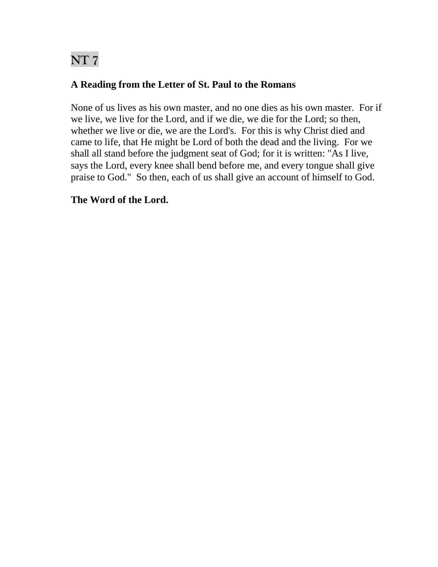#### **A Reading from the Letter of St. Paul to the Romans**

None of us lives as his own master, and no one dies as his own master. For if we live, we live for the Lord, and if we die, we die for the Lord; so then, whether we live or die, we are the Lord's. For this is why Christ died and came to life, that He might be Lord of both the dead and the living. For we shall all stand before the judgment seat of God; for it is written: "As I live, says the Lord, every knee shall bend before me, and every tongue shall give praise to God." So then, each of us shall give an account of himself to God.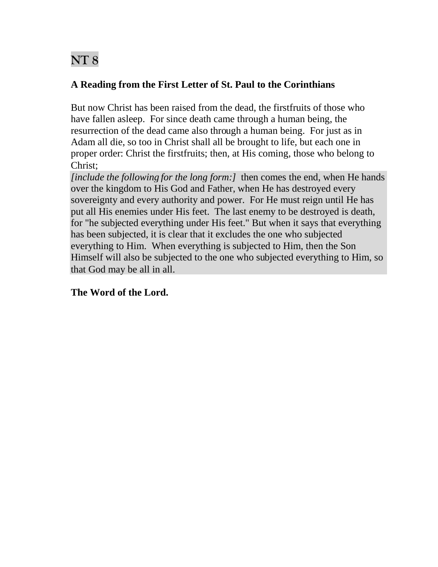#### **A Reading from the First Letter of St. Paul to the Corinthians**

But now Christ has been raised from the dead, the firstfruits of those who have fallen asleep. For since death came through a human being, the resurrection of the dead came also through a human being. For just as in Adam all die, so too in Christ shall all be brought to life, but each one in proper order: Christ the firstfruits; then, at His coming, those who belong to Christ;

*[include the following for the long form:]* then comes the end, when He hands over the kingdom to His God and Father, when He has destroyed every sovereignty and every authority and power. For He must reign until He has put all His enemies under His feet. The last enemy to be destroyed is death, for "he subjected everything under His feet." But when it says that everything has been subjected, it is clear that it excludes the one who subjected everything to Him. When everything is subjected to Him, then the Son Himself will also be subjected to the one who subjected everything to Him, so that God may be all in all.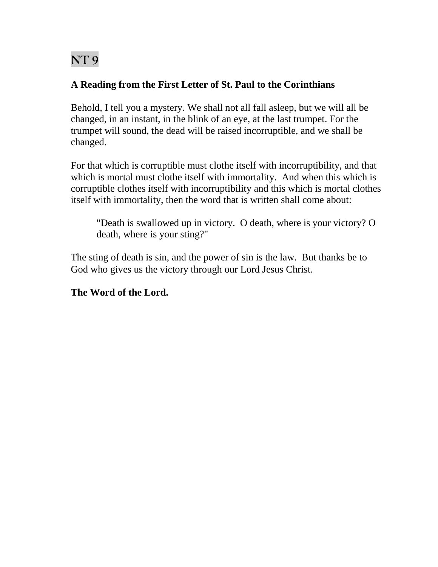#### **A Reading from the First Letter of St. Paul to the Corinthians**

Behold, I tell you a mystery. We shall not all fall asleep, but we will all be changed, in an instant, in the blink of an eye, at the last trumpet. For the trumpet will sound, the dead will be raised incorruptible, and we shall be changed.

For that which is corruptible must clothe itself with incorruptibility, and that which is mortal must clothe itself with immortality. And when this which is corruptible clothes itself with incorruptibility and this which is mortal clothes itself with immortality, then the word that is written shall come about:

"Death is swallowed up in victory. O death, where is your victory? O death, where is your sting?"

The sting of death is sin, and the power of sin is the law. But thanks be to God who gives us the victory through our Lord Jesus Christ.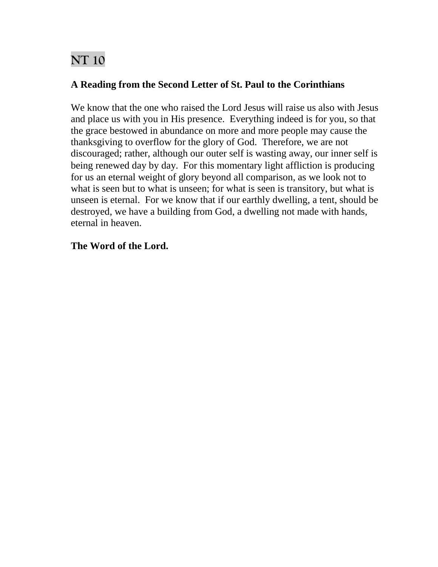#### **A Reading from the Second Letter of St. Paul to the Corinthians**

We know that the one who raised the Lord Jesus will raise us also with Jesus and place us with you in His presence. Everything indeed is for you, so that the grace bestowed in abundance on more and more people may cause the thanksgiving to overflow for the glory of God. Therefore, we are not discouraged; rather, although our outer self is wasting away, our inner self is being renewed day by day. For this momentary light affliction is producing for us an eternal weight of glory beyond all comparison, as we look not to what is seen but to what is unseen; for what is seen is transitory, but what is unseen is eternal. For we know that if our earthly dwelling, a tent, should be destroyed, we have a building from God, a dwelling not made with hands, eternal in heaven.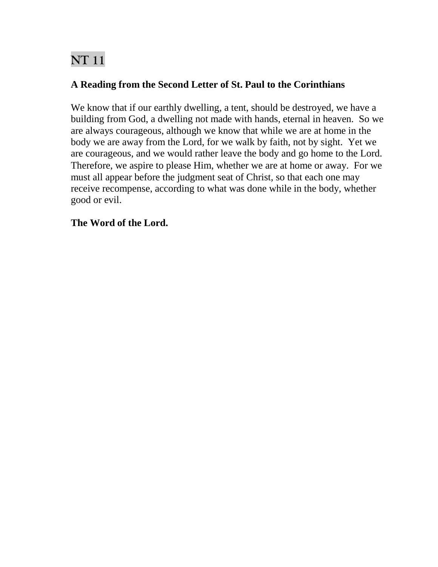#### **A Reading from the Second Letter of St. Paul to the Corinthians**

We know that if our earthly dwelling, a tent, should be destroyed, we have a building from God, a dwelling not made with hands, eternal in heaven. So we are always courageous, although we know that while we are at home in the body we are away from the Lord, for we walk by faith, not by sight. Yet we are courageous, and we would rather leave the body and go home to the Lord. Therefore, we aspire to please Him, whether we are at home or away. For we must all appear before the judgment seat of Christ, so that each one may receive recompense, according to what was done while in the body, whether good or evil.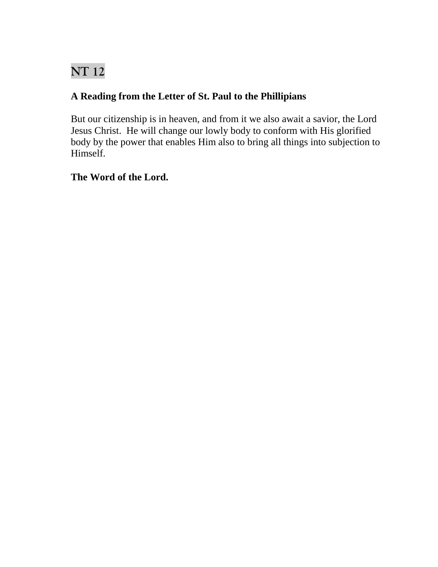#### **A Reading from the Letter of St. Paul to the Phillipians**

But our citizenship is in heaven, and from it we also await a savior, the Lord Jesus Christ. He will change our lowly body to conform with His glorified body by the power that enables Him also to bring all things into subjection to Himself.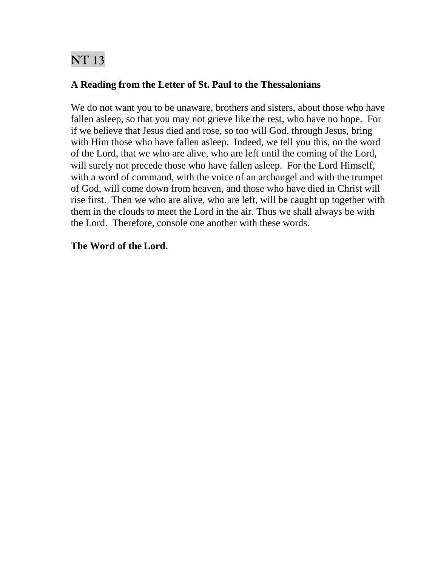#### **A Reading from the Letter of St. Paul to the Thessalonians**

We do not want you to be unaware, brothers and sisters, about those who have fallen asleep, so that you may not grieve like the rest, who have no hope. For if we believe that Jesus died and rose, so too will God, through Jesus, bring with Him those who have fallen asleep. Indeed, we tell you this, on the word of the Lord, that we who are alive, who are left until the coming of the Lord, will surely not precede those who have fallen asleep. For the Lord Himself, with a word of command, with the voice of an archangel and with the trumpet of God, will come down from heaven, and those who have died in Christ will rise first. Then we who are alive, who are left, will be caught up together with them in the clouds to meet the Lord in the air. Thus we shall always be with the Lord. Therefore, console one another with these words.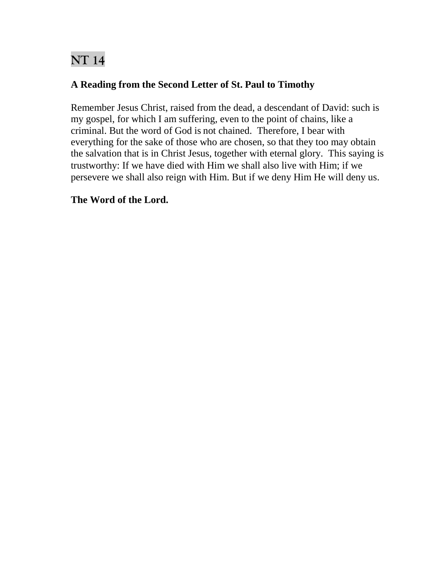#### **A Reading from the Second Letter of St. Paul to Timothy**

Remember Jesus Christ, raised from the dead, a descendant of David: such is my gospel, for which I am suffering, even to the point of chains, like a criminal. But the word of God is not chained. Therefore, I bear with everything for the sake of those who are chosen, so that they too may obtain the salvation that is in Christ Jesus, together with eternal glory. This saying is trustworthy: If we have died with Him we shall also live with Him; if we persevere we shall also reign with Him. But if we deny Him He will deny us.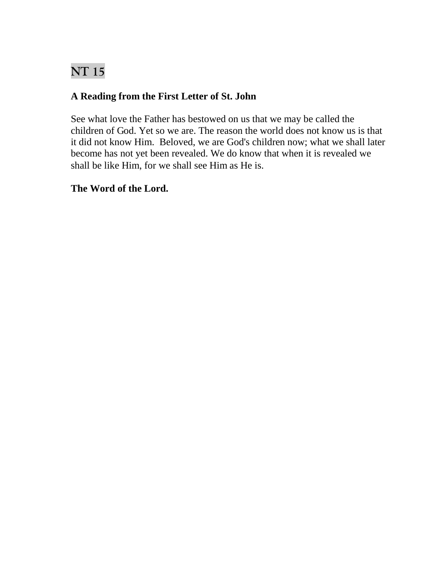#### **A Reading from the First Letter of St. John**

See what love the Father has bestowed on us that we may be called the children of God. Yet so we are. The reason the world does not know us is that it did not know Him. Beloved, we are God's children now; what we shall later become has not yet been revealed. We do know that when it is revealed we shall be like Him, for we shall see Him as He is.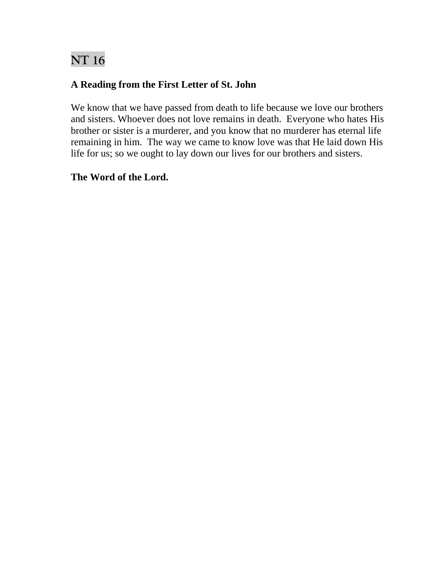#### **A Reading from the First Letter of St. John**

We know that we have passed from death to life because we love our brothers and sisters. Whoever does not love remains in death. Everyone who hates His brother or sister is a murderer, and you know that no murderer has eternal life remaining in him. The way we came to know love was that He laid down His life for us; so we ought to lay down our lives for our brothers and sisters.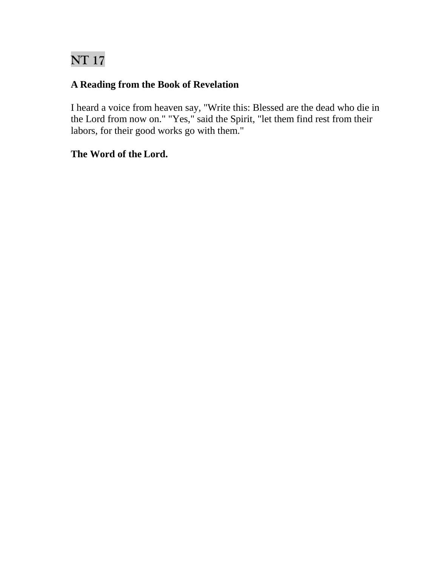#### **A Reading from the Book of Revelation**

I heard a voice from heaven say, "Write this: Blessed are the dead who die in the Lord from now on." "Yes," said the Spirit, "let them find rest from their labors, for their good works go with them."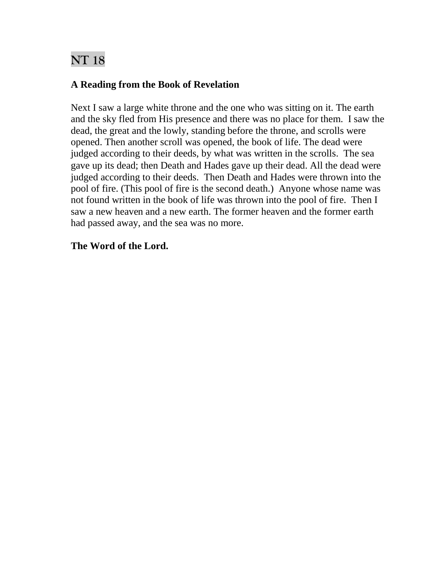#### **A Reading from the Book of Revelation**

Next I saw a large white throne and the one who was sitting on it. The earth and the sky fled from His presence and there was no place for them. I saw the dead, the great and the lowly, standing before the throne, and scrolls were opened. Then another scroll was opened, the book of life. The dead were judged according to their deeds, by what was written in the scrolls. The sea gave up its dead; then Death and Hades gave up their dead. All the dead were judged according to their deeds. Then Death and Hades were thrown into the pool of fire. (This pool of fire is the second death.) Anyone whose name was not found written in the book of life was thrown into the pool of fire. Then I saw a new heaven and a new earth. The former heaven and the former earth had passed away, and the sea was no more.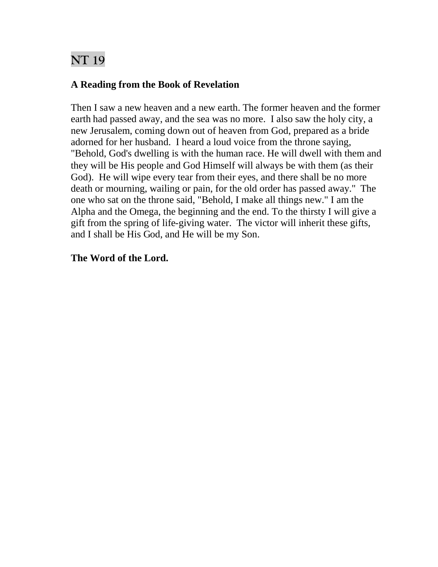#### **A Reading from the Book of Revelation**

Then I saw a new heaven and a new earth. The former heaven and the former earth had passed away, and the sea was no more. I also saw the holy city, a new Jerusalem, coming down out of heaven from God, prepared as a bride adorned for her husband. I heard a loud voice from the throne saying, "Behold, God's dwelling is with the human race. He will dwell with them and they will be His people and God Himself will always be with them (as their God). He will wipe every tear from their eyes, and there shall be no more death or mourning, wailing or pain, for the old order has passed away." The one who sat on the throne said, "Behold, I make all things new." I am the Alpha and the Omega, the beginning and the end. To the thirsty I will give a gift from the spring of life-giving water. The victor will inherit these gifts, and I shall be His God, and He will be my Son.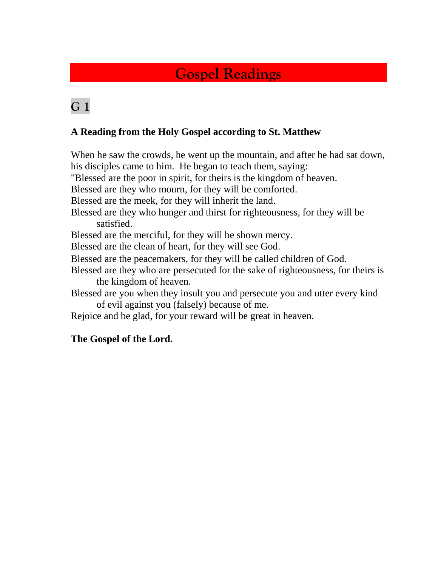# **Gospel Readings**

# **G 1**

#### **A Reading from the Holy Gospel according to St. Matthew**

When he saw the crowds, he went up the mountain, and after he had sat down, his disciples came to him. He began to teach them, saying: "Blessed are the poor in spirit, for theirs is the kingdom of heaven. Blessed are they who mourn, for they will be comforted. Blessed are the meek, for they will inherit the land. Blessed are they who hunger and thirst for righteousness, for they will be satisfied. Blessed are the merciful, for they will be shown mercy. Blessed are the clean of heart, for they will see God. Blessed are the peacemakers, for they will be called children of God. Blessed are they who are persecuted for the sake of righteousness, for theirs is the kingdom of heaven. Blessed are you when they insult you and persecute you and utter every kind of evil against you (falsely) because of me. Rejoice and be glad, for your reward will be great in heaven.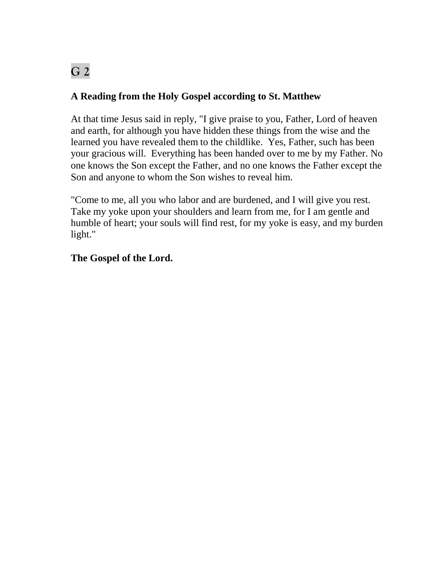#### **A Reading from the Holy Gospel according to St. Matthew**

At that time Jesus said in reply, "I give praise to you, Father, Lord of heaven and earth, for although you have hidden these things from the wise and the learned you have revealed them to the childlike. Yes, Father, such has been your gracious will. Everything has been handed over to me by my Father. No one knows the Son except the Father, and no one knows the Father except the Son and anyone to whom the Son wishes to reveal him.

"Come to me, all you who labor and are burdened, and I will give you rest. Take my yoke upon your shoulders and learn from me, for I am gentle and humble of heart; your souls will find rest, for my yoke is easy, and my burden light."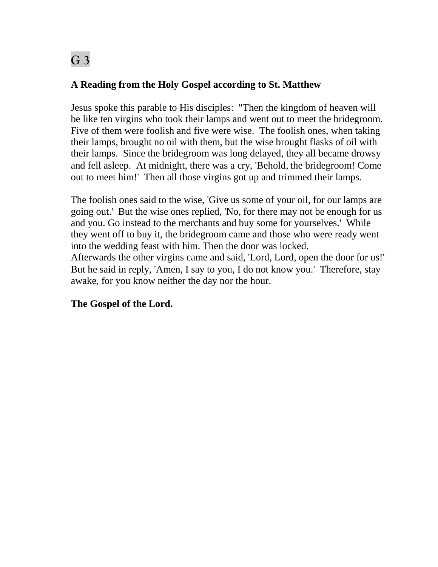#### **A Reading from the Holy Gospel according to St. Matthew**

Jesus spoke this parable to His disciples: "Then the kingdom of heaven will be like ten virgins who took their lamps and went out to meet the bridegroom. Five of them were foolish and five were wise. The foolish ones, when taking their lamps, brought no oil with them, but the wise brought flasks of oil with their lamps. Since the bridegroom was long delayed, they all became drowsy and fell asleep. At midnight, there was a cry, 'Behold, the bridegroom! Come out to meet him!' Then all those virgins got up and trimmed their lamps.

The foolish ones said to the wise, 'Give us some of your oil, for our lamps are going out.' But the wise ones replied, 'No, for there may not be enough for us and you. Go instead to the merchants and buy some for yourselves.' While they went off to buy it, the bridegroom came and those who were ready went into the wedding feast with him. Then the door was locked. Afterwards the other virgins came and said, 'Lord, Lord, open the door for us!' But he said in reply, 'Amen, I say to you, I do not know you.' Therefore, stay awake, for you know neither the day nor the hour.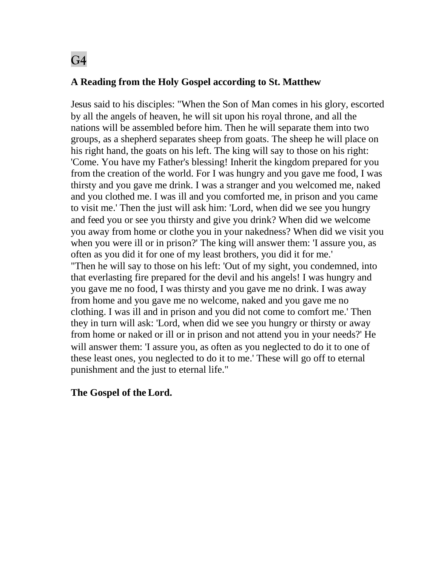#### **A Reading from the Holy Gospel according to St. Matthew**

Jesus said to his disciples: "When the Son of Man comes in his glory, escorted by all the angels of heaven, he will sit upon his royal throne, and all the nations will be assembled before him. Then he will separate them into two groups, as a shepherd separates sheep from goats. The sheep he will place on his right hand, the goats on his left. The king will say to those on his right: 'Come. You have my Father's blessing! Inherit the kingdom prepared for you from the creation of the world. For I was hungry and you gave me food, I was thirsty and you gave me drink. I was a stranger and you welcomed me, naked and you clothed me. I was ill and you comforted me, in prison and you came to visit me.' Then the just will ask him: 'Lord, when did we see you hungry and feed you or see you thirsty and give you drink? When did we welcome you away from home or clothe you in your nakedness? When did we visit you when you were ill or in prison?' The king will answer them: 'I assure you, as often as you did it for one of my least brothers, you did it for me.' "Then he will say to those on his left: 'Out of my sight, you condemned, into that everlasting fire prepared for the devil and his angels! I was hungry and you gave me no food, I was thirsty and you gave me no drink. I was away from home and you gave me no welcome, naked and you gave me no clothing. I was ill and in prison and you did not come to comfort me.' Then they in turn will ask: 'Lord, when did we see you hungry or thirsty or away from home or naked or ill or in prison and not attend you in your needs?' He will answer them: 'I assure you, as often as you neglected to do it to one of these least ones, you neglected to do it to me.' These will go off to eternal punishment and the just to eternal life."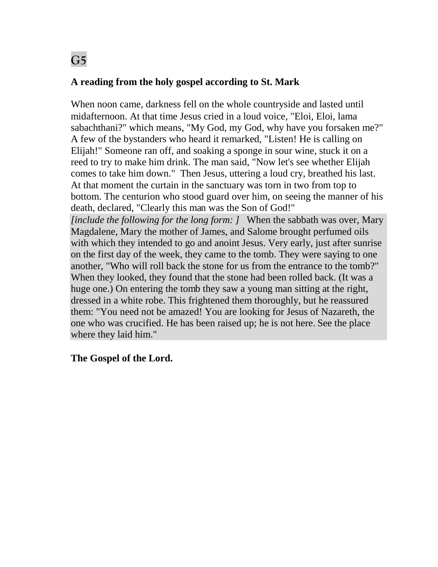#### **A reading from the holy gospel according to St. Mark**

When noon came, darkness fell on the whole countryside and lasted until midafternoon. At that time Jesus cried in a loud voice, "Eloi, Eloi, lama sabachthani?" which means, "My God, my God, why have you forsaken me?" A few of the bystanders who heard it remarked, "Listen! He is calling on Elijah!" Someone ran off, and soaking a sponge in sour wine, stuck it on a reed to try to make him drink. The man said, "Now let's see whether Elijah comes to take him down." Then Jesus, uttering a loud cry, breathed his last. At that moment the curtain in the sanctuary was torn in two from top to bottom. The centurion who stood guard over him, on seeing the manner of his death, declared, "Clearly this man was the Son of God!"

*[include the following for the long form: ]* When the sabbath was over, Mary Magdalene, Mary the mother of James, and Salome brought perfumed oils with which they intended to go and anoint Jesus. Very early, just after sunrise on the first day of the week, they came to the tomb. They were saying to one another, "Who will roll back the stone for us from the entrance to the tomb?" When they looked, they found that the stone had been rolled back. (It was a huge one.) On entering the tomb they saw a young man sitting at the right, dressed in a white robe. This frightened them thoroughly, but he reassured them: "You need not be amazed! You are looking for Jesus of Nazareth, the one who was crucified. He has been raised up; he is not here. See the place where they laid him."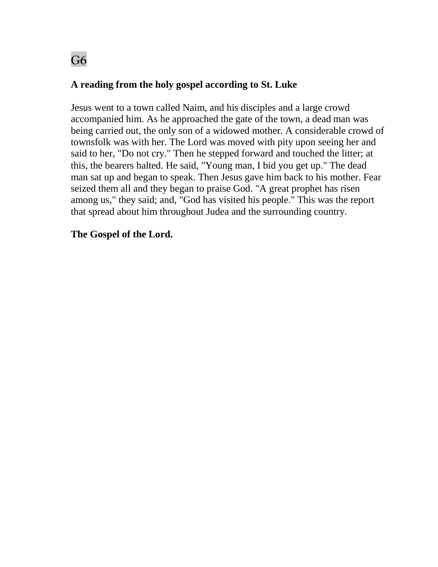#### **A reading from the holy gospel according to St. Luke**

Jesus went to a town called Naim, and his disciples and a large crowd accompanied him. As he approached the gate of the town, a dead man was being carried out, the only son of a widowed mother. A considerable crowd of townsfolk was with her. The Lord was moved with pity upon seeing her and said to her, "Do not cry." Then he stepped forward and touched the litter; at this, the bearers halted. He said, "Young man, I bid you get up." The dead man sat up and began to speak. Then Jesus gave him back to his mother. Fear seized them all and they began to praise God. "A great prophet has risen among us," they said; and, "God has visited his people." This was the report that spread about him throughout Judea and the surrounding country.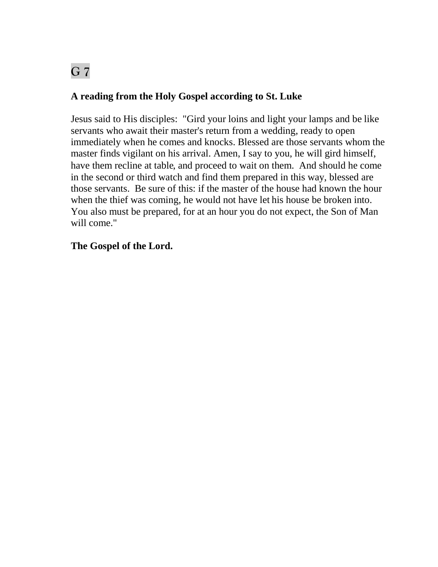#### **A reading from the Holy Gospel according to St. Luke**

Jesus said to His disciples: "Gird your loins and light your lamps and be like servants who await their master's return from a wedding, ready to open immediately when he comes and knocks. Blessed are those servants whom the master finds vigilant on his arrival. Amen, I say to you, he will gird himself, have them recline at table, and proceed to wait on them. And should he come in the second or third watch and find them prepared in this way, blessed are those servants. Be sure of this: if the master of the house had known the hour when the thief was coming, he would not have let his house be broken into. You also must be prepared, for at an hour you do not expect, the Son of Man will come."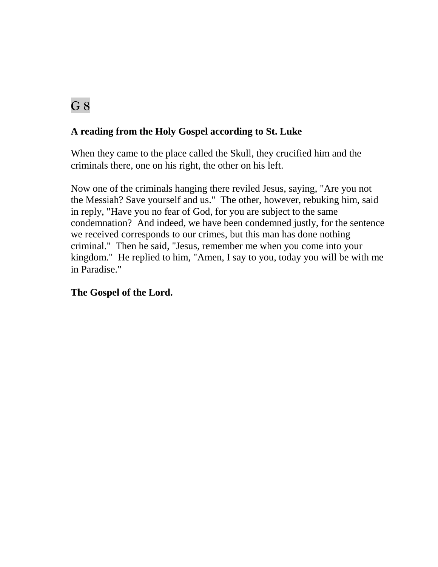#### **A reading from the Holy Gospel according to St. Luke**

When they came to the place called the Skull, they crucified him and the criminals there, one on his right, the other on his left.

Now one of the criminals hanging there reviled Jesus, saying, "Are you not the Messiah? Save yourself and us." The other, however, rebuking him, said in reply, "Have you no fear of God, for you are subject to the same condemnation? And indeed, we have been condemned justly, for the sentence we received corresponds to our crimes, but this man has done nothing criminal." Then he said, "Jesus, remember me when you come into your kingdom." He replied to him, "Amen, I say to you, today you will be with me in Paradise."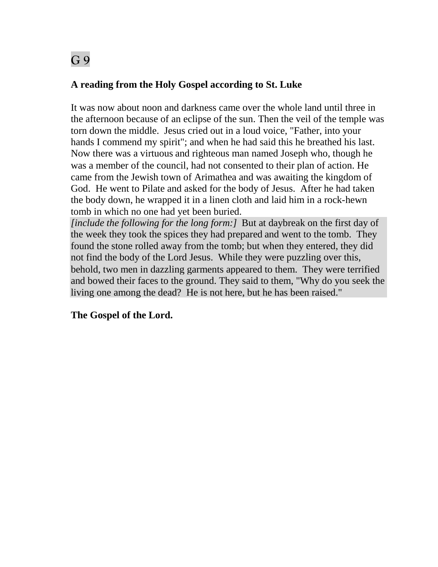#### **A reading from the Holy Gospel according to St. Luke**

It was now about noon and darkness came over the whole land until three in the afternoon because of an eclipse of the sun. Then the veil of the temple was torn down the middle. Jesus cried out in a loud voice, "Father, into your hands I commend my spirit"; and when he had said this he breathed his last. Now there was a virtuous and righteous man named Joseph who, though he was a member of the council, had not consented to their plan of action. He came from the Jewish town of Arimathea and was awaiting the kingdom of God. He went to Pilate and asked for the body of Jesus. After he had taken the body down, he wrapped it in a linen cloth and laid him in a rock-hewn tomb in which no one had yet been buried.

*[include the following for the long form:]* But at daybreak on the first day of the week they took the spices they had prepared and went to the tomb. They found the stone rolled away from the tomb; but when they entered, they did not find the body of the Lord Jesus. While they were puzzling over this, behold, two men in dazzling garments appeared to them. They were terrified and bowed their faces to the ground. They said to them, "Why do you seek the living one among the dead? He is not here, but he has been raised."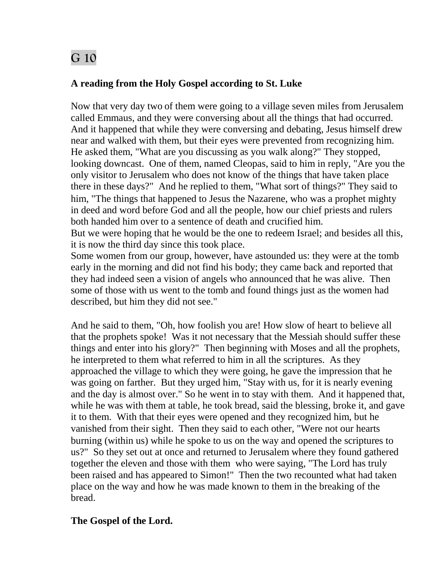#### **A reading from the Holy Gospel according to St. Luke**

Now that very day two of them were going to a village seven miles from Jerusalem called Emmaus, and they were conversing about all the things that had occurred. And it happened that while they were conversing and debating, Jesus himself drew near and walked with them, but their eyes were prevented from recognizing him. He asked them, "What are you discussing as you walk along?" They stopped, looking downcast. One of them, named Cleopas, said to him in reply, "Are you the only visitor to Jerusalem who does not know of the things that have taken place there in these days?" And he replied to them, "What sort of things?" They said to him, "The things that happened to Jesus the Nazarene, who was a prophet mighty in deed and word before God and all the people, how our chief priests and rulers both handed him over to a sentence of death and crucified him.

But we were hoping that he would be the one to redeem Israel; and besides all this, it is now the third day since this took place.

Some women from our group, however, have astounded us: they were at the tomb early in the morning and did not find his body; they came back and reported that they had indeed seen a vision of angels who announced that he was alive. Then some of those with us went to the tomb and found things just as the women had described, but him they did not see."

And he said to them, "Oh, how foolish you are! How slow of heart to believe all that the prophets spoke! Was it not necessary that the Messiah should suffer these things and enter into his glory?" Then beginning with Moses and all the prophets, he interpreted to them what referred to him in all the scriptures. As they approached the village to which they were going, he gave the impression that he was going on farther. But they urged him, "Stay with us, for it is nearly evening and the day is almost over." So he went in to stay with them. And it happened that, while he was with them at table, he took bread, said the blessing, broke it, and gave it to them. With that their eyes were opened and they recognized him, but he vanished from their sight. Then they said to each other, "Were not our hearts burning (within us) while he spoke to us on the way and opened the scriptures to us?" So they set out at once and returned to Jerusalem where they found gathered together the eleven and those with them who were saying, "The Lord has truly been raised and has appeared to Simon!" Then the two recounted what had taken place on the way and how he was made known to them in the breaking of the bread.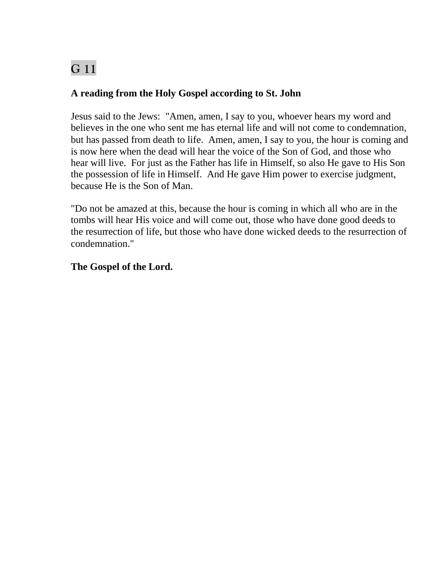#### **A reading from the Holy Gospel according to St. John**

Jesus said to the Jews: "Amen, amen, I say to you, whoever hears my word and believes in the one who sent me has eternal life and will not come to condemnation, but has passed from death to life. Amen, amen, I say to you, the hour is coming and is now here when the dead will hear the voice of the Son of God, and those who hear will live. For just as the Father has life in Himself, so also He gave to His Son the possession of life in Himself. And He gave Him power to exercise judgment, because He is the Son of Man.

"Do not be amazed at this, because the hour is coming in which all who are in the tombs will hear His voice and will come out, those who have done good deeds to the resurrection of life, but those who have done wicked deeds to the resurrection of condemnation."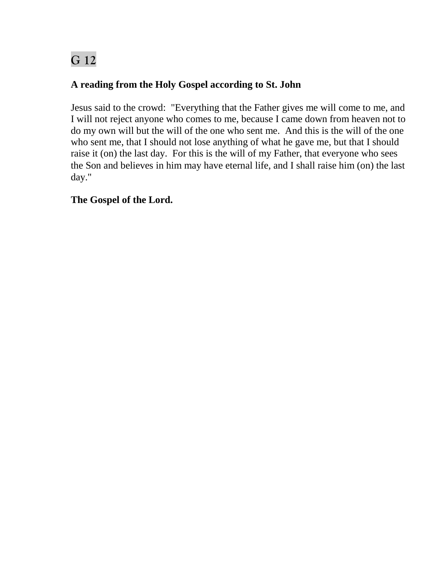#### **A reading from the Holy Gospel according to St. John**

Jesus said to the crowd: "Everything that the Father gives me will come to me, and I will not reject anyone who comes to me, because I came down from heaven not to do my own will but the will of the one who sent me. And this is the will of the one who sent me, that I should not lose anything of what he gave me, but that I should raise it (on) the last day. For this is the will of my Father, that everyone who sees the Son and believes in him may have eternal life, and I shall raise him (on) the last day."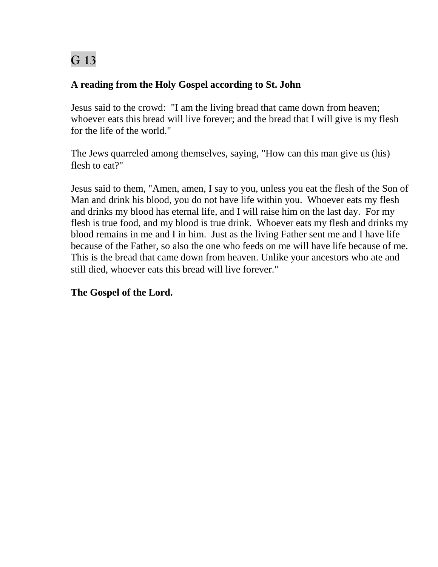#### **A reading from the Holy Gospel according to St. John**

Jesus said to the crowd: "I am the living bread that came down from heaven; whoever eats this bread will live forever; and the bread that I will give is my flesh for the life of the world."

The Jews quarreled among themselves, saying, "How can this man give us (his) flesh to eat?"

Jesus said to them, "Amen, amen, I say to you, unless you eat the flesh of the Son of Man and drink his blood, you do not have life within you. Whoever eats my flesh and drinks my blood has eternal life, and I will raise him on the last day. For my flesh is true food, and my blood is true drink. Whoever eats my flesh and drinks my blood remains in me and I in him. Just as the living Father sent me and I have life because of the Father, so also the one who feeds on me will have life because of me. This is the bread that came down from heaven. Unlike your ancestors who ate and still died, whoever eats this bread will live forever."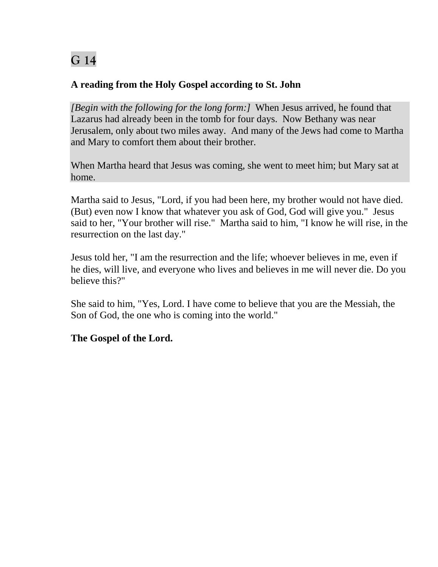#### **A reading from the Holy Gospel according to St. John**

*[Begin with the following for the long form:]* When Jesus arrived, he found that Lazarus had already been in the tomb for four days. Now Bethany was near Jerusalem, only about two miles away. And many of the Jews had come to Martha and Mary to comfort them about their brother.

When Martha heard that Jesus was coming, she went to meet him; but Mary sat at home.

Martha said to Jesus, "Lord, if you had been here, my brother would not have died. (But) even now I know that whatever you ask of God, God will give you." Jesus said to her, "Your brother will rise." Martha said to him, "I know he will rise, in the resurrection on the last day."

Jesus told her, "I am the resurrection and the life; whoever believes in me, even if he dies, will live, and everyone who lives and believes in me will never die. Do you believe this?"

She said to him, "Yes, Lord. I have come to believe that you are the Messiah, the Son of God, the one who is coming into the world."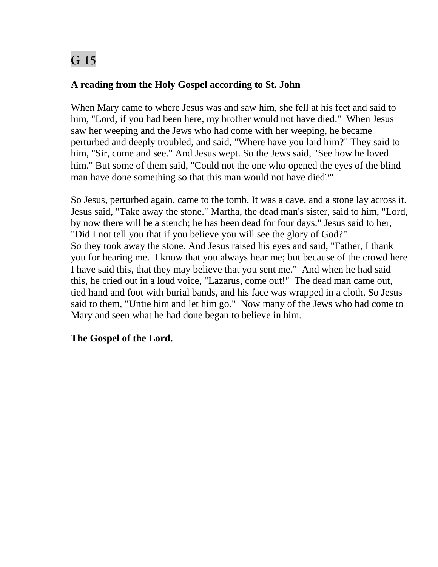#### **A reading from the Holy Gospel according to St. John**

When Mary came to where Jesus was and saw him, she fell at his feet and said to him, "Lord, if you had been here, my brother would not have died." When Jesus saw her weeping and the Jews who had come with her weeping, he became perturbed and deeply troubled, and said, "Where have you laid him?" They said to him, "Sir, come and see." And Jesus wept. So the Jews said, "See how he loved him." But some of them said, "Could not the one who opened the eyes of the blind man have done something so that this man would not have died?"

So Jesus, perturbed again, came to the tomb. It was a cave, and a stone lay across it. Jesus said, "Take away the stone." Martha, the dead man's sister, said to him, "Lord, by now there will be a stench; he has been dead for four days." Jesus said to her, "Did I not tell you that if you believe you will see the glory of God?" So they took away the stone. And Jesus raised his eyes and said, "Father, I thank you for hearing me. I know that you always hear me; but because of the crowd here I have said this, that they may believe that you sent me." And when he had said this, he cried out in a loud voice, "Lazarus, come out!" The dead man came out, tied hand and foot with burial bands, and his face was wrapped in a cloth. So Jesus said to them, "Untie him and let him go." Now many of the Jews who had come to Mary and seen what he had done began to believe in him.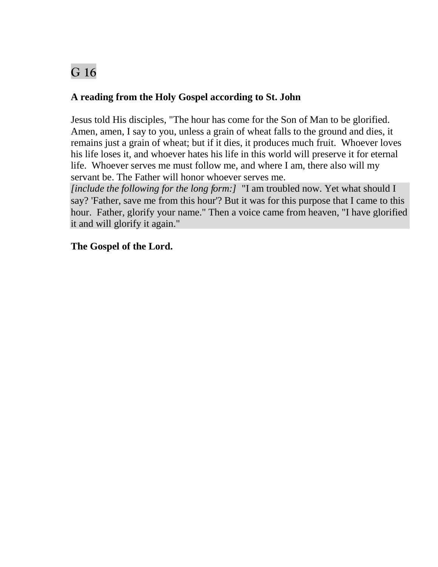#### **A reading from the Holy Gospel according to St. John**

Jesus told His disciples, "The hour has come for the Son of Man to be glorified. Amen, amen, I say to you, unless a grain of wheat falls to the ground and dies, it remains just a grain of wheat; but if it dies, it produces much fruit. Whoever loves his life loses it, and whoever hates his life in this world will preserve it for eternal life. Whoever serves me must follow me, and where I am, there also will my servant be. The Father will honor whoever serves me.

*[include the following for the long form:]* "I am troubled now. Yet what should I say? 'Father, save me from this hour'? But it was for this purpose that I came to this hour. Father, glorify your name." Then a voice came from heaven, "I have glorified it and will glorify it again."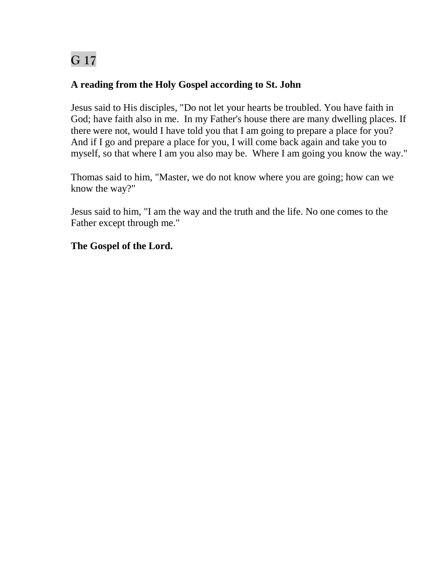#### **A reading from the Holy Gospel according to St. John**

Jesus said to His disciples, "Do not let your hearts be troubled. You have faith in God; have faith also in me. In my Father's house there are many dwelling places. If there were not, would I have told you that I am going to prepare a place for you? And if I go and prepare a place for you, I will come back again and take you to myself, so that where I am you also may be. Where I am going you know the way."

Thomas said to him, "Master, we do not know where you are going; how can we know the way?"

Jesus said to him, "I am the way and the truth and the life. No one comes to the Father except through me."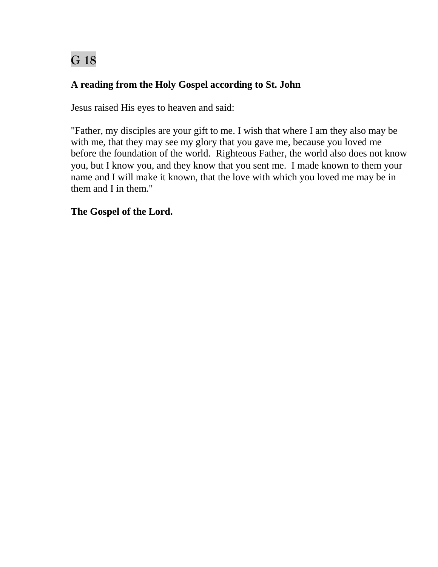#### **A reading from the Holy Gospel according to St. John**

Jesus raised His eyes to heaven and said:

"Father, my disciples are your gift to me. I wish that where I am they also may be with me, that they may see my glory that you gave me, because you loved me before the foundation of the world. Righteous Father, the world also does not know you, but I know you, and they know that you sent me. I made known to them your name and I will make it known, that the love with which you loved me may be in them and I in them."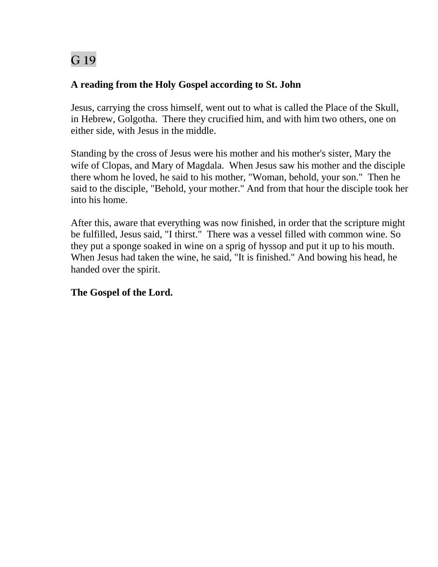#### **A reading from the Holy Gospel according to St. John**

Jesus, carrying the cross himself, went out to what is called the Place of the Skull, in Hebrew, Golgotha. There they crucified him, and with him two others, one on either side, with Jesus in the middle.

Standing by the cross of Jesus were his mother and his mother's sister, Mary the wife of Clopas, and Mary of Magdala. When Jesus saw his mother and the disciple there whom he loved, he said to his mother, "Woman, behold, your son." Then he said to the disciple, "Behold, your mother." And from that hour the disciple took her into his home.

After this, aware that everything was now finished, in order that the scripture might be fulfilled, Jesus said, "I thirst." There was a vessel filled with common wine. So they put a sponge soaked in wine on a sprig of hyssop and put it up to his mouth. When Jesus had taken the wine, he said, "It is finished." And bowing his head, he handed over the spirit.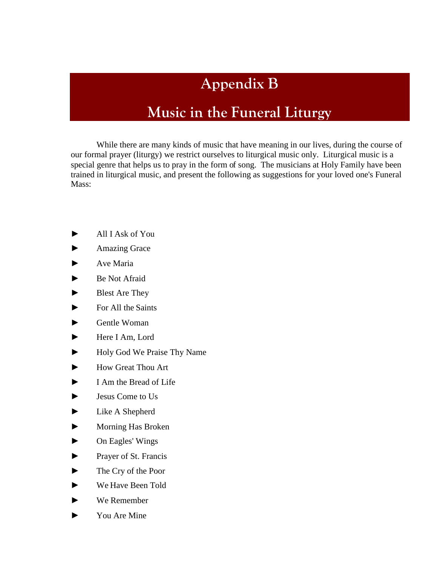# **Appendix B**

# **Music in the Funeral Liturgy**

While there are many kinds of music that have meaning in our lives, during the course of our formal prayer (liturgy) we restrict ourselves to liturgical music only. Liturgical music is a special genre that helps us to pray in the form of song. The musicians at Holy Family have been trained in liturgical music, and present the following as suggestions for your loved one's Funeral Mass:

- ► All I Ask of You
- ► Amazing Grace
- Ave Maria
- Be Not Afraid
- ► Blest Are They
- ► For All the Saints
- ► Gentle Woman
- ► Here I Am, Lord
- ► Holy God We Praise Thy Name
- ► How Great Thou Art
- ► I Am the Bread of Life
- ► Jesus Come to Us
- ► Like A Shepherd
- ► Morning Has Broken
- ► On Eagles' Wings
- ► Prayer of St. Francis
- ► The Cry of the Poor
- ► We Have Been Told
- We Remember
- You Are Mine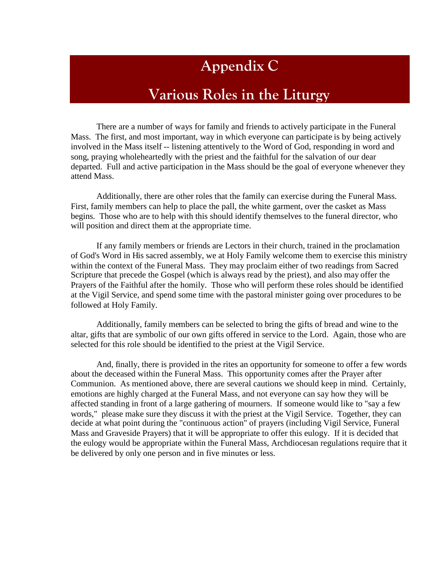# **Appendix C**

### **Various Roles in the Liturgy**

There are a number of ways for family and friends to actively participate in the Funeral Mass. The first, and most important, way in which everyone can participate is by being actively involved in the Mass itself -- listening attentively to the Word of God, responding in word and song, praying wholeheartedly with the priest and the faithful for the salvation of our dear departed. Full and active participation in the Mass should be the goal of everyone whenever they attend Mass.

Additionally, there are other roles that the family can exercise during the Funeral Mass. First, family members can help to place the pall, the white garment, over the casket as Mass begins. Those who are to help with this should identify themselves to the funeral director, who will position and direct them at the appropriate time.

If any family members or friends are Lectors in their church, trained in the proclamation of God's Word in His sacred assembly, we at Holy Family welcome them to exercise this ministry within the context of the Funeral Mass. They may proclaim either of two readings from Sacred Scripture that precede the Gospel (which is always read by the priest), and also may offer the Prayers of the Faithful after the homily. Those who will perform these roles should be identified at the Vigil Service, and spend some time with the pastoral minister going over procedures to be followed at Holy Family.

Additionally, family members can be selected to bring the gifts of bread and wine to the altar, gifts that are symbolic of our own gifts offered in service to the Lord. Again, those who are selected for this role should be identified to the priest at the Vigil Service.

And, finally, there is provided in the rites an opportunity for someone to offer a few words about the deceased within the Funeral Mass. This opportunity comes after the Prayer after Communion. As mentioned above, there are several cautions we should keep in mind. Certainly, emotions are highly charged at the Funeral Mass, and not everyone can say how they will be affected standing in front of a large gathering of mourners. If someone would like to "say a few words," please make sure they discuss it with the priest at the Vigil Service. Together, they can decide at what point during the "continuous action" of prayers (including Vigil Service, Funeral Mass and Graveside Prayers) that it will be appropriate to offer this eulogy. If it is decided that the eulogy would be appropriate within the Funeral Mass, Archdiocesan regulations require that it be delivered by only one person and in five minutes or less.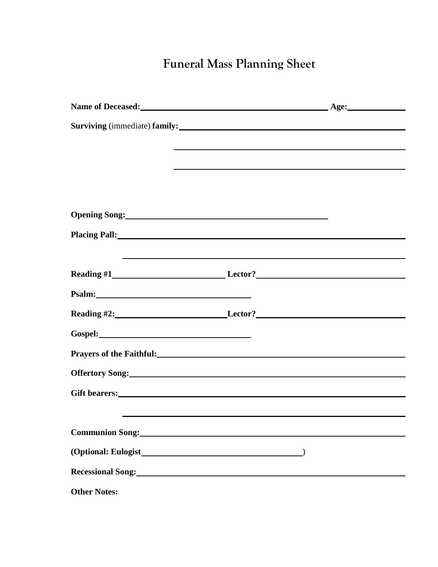### **Funeral Mass Planning Sheet**

| Name of Deceased: <u>Age:</u> Age:                                                                                                                                                                                             |                                                                                                                      |  |
|--------------------------------------------------------------------------------------------------------------------------------------------------------------------------------------------------------------------------------|----------------------------------------------------------------------------------------------------------------------|--|
|                                                                                                                                                                                                                                |                                                                                                                      |  |
|                                                                                                                                                                                                                                |                                                                                                                      |  |
|                                                                                                                                                                                                                                |                                                                                                                      |  |
|                                                                                                                                                                                                                                |                                                                                                                      |  |
|                                                                                                                                                                                                                                |                                                                                                                      |  |
| Opening Song: No. 1996                                                                                                                                                                                                         |                                                                                                                      |  |
|                                                                                                                                                                                                                                |                                                                                                                      |  |
|                                                                                                                                                                                                                                | <u> 1989 - Andrea Santa Andrea Santa Andrea Santa Andrea Santa Andrea Santa Andrea Santa Andrea Santa Andrea San</u> |  |
|                                                                                                                                                                                                                                |                                                                                                                      |  |
| Psalm:                                                                                                                                                                                                                         |                                                                                                                      |  |
| Reading #2: Lector? Lector?                                                                                                                                                                                                    |                                                                                                                      |  |
|                                                                                                                                                                                                                                |                                                                                                                      |  |
| Prayers of the Faithful: Note that the Second Second Second Second Second Second Second Second Second Second Second Second Second Second Second Second Second Second Second Second Second Second Second Second Second Second S |                                                                                                                      |  |
|                                                                                                                                                                                                                                |                                                                                                                      |  |
|                                                                                                                                                                                                                                |                                                                                                                      |  |
|                                                                                                                                                                                                                                |                                                                                                                      |  |
| Communion Song:                                                                                                                                                                                                                |                                                                                                                      |  |
|                                                                                                                                                                                                                                |                                                                                                                      |  |
| Recessional Song: Necessional Song                                                                                                                                                                                             |                                                                                                                      |  |
| <b>Other Notes:</b>                                                                                                                                                                                                            |                                                                                                                      |  |